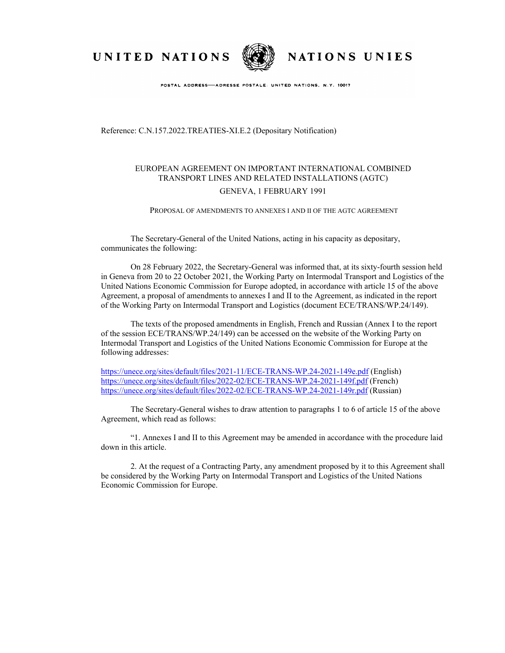UNITED NATIONS



NATIONS UNIES

POSTAL ADDRESS-ADRESSE POSTALE: UNITED NATIONS, N.Y. 10017

Reference: C.N.157.2022.TREATIES-XI.E.2 (Depositary Notification)

## EUROPEAN AGREEMENT ON IMPORTANT INTERNATIONAL COMBINED TRANSPORT LINES AND RELATED INSTALLATIONS (AGTC)

## GENEVA, 1 FEBRUARY 1991

## PROPOSAL OF AMENDMENTS TO ANNEXES I AND II OF THE AGTC AGREEMENT

The Secretary-General of the United Nations, acting in his capacity as depositary, communicates the following:

On 28 February 2022, the Secretary-General was informed that, at its sixty-fourth session held in Geneva from 20 to 22 October 2021, the Working Party on Intermodal Transport and Logistics of the United Nations Economic Commission for Europe adopted, in accordance with article 15 of the above Agreement, a proposal of amendments to annexes I and II to the Agreement, as indicated in the report of the Working Party on Intermodal Transport and Logistics (document ECE/TRANS/WP.24/149).

The texts of the proposed amendments in English, French and Russian (Annex I to the report of the session ECE/TRANS/WP.24/149) can be accessed on the website of the Working Party on Intermodal Transport and Logistics of the United Nations Economic Commission for Europe at the following addresses:

<https://unece.org/sites/default/files/2021-11/ECE-TRANS-WP.24-2021-149e.pdf> (English) <https://unece.org/sites/default/files/2022-02/ECE-TRANS-WP.24-2021-149f.pdf>(French) <https://unece.org/sites/default/files/2022-02/ECE-TRANS-WP.24-2021-149r.pdf>(Russian)

The Secretary-General wishes to draw attention to paragraphs 1 to 6 of article 15 of the above Agreement, which read as follows:

"1. Annexes I and II to this Agreement may be amended in accordance with the procedure laid down in this article.

2. At the request of a Contracting Party, any amendment proposed by it to this Agreement shall be considered by the Working Party on Intermodal Transport and Logistics of the United Nations Economic Commission for Europe.